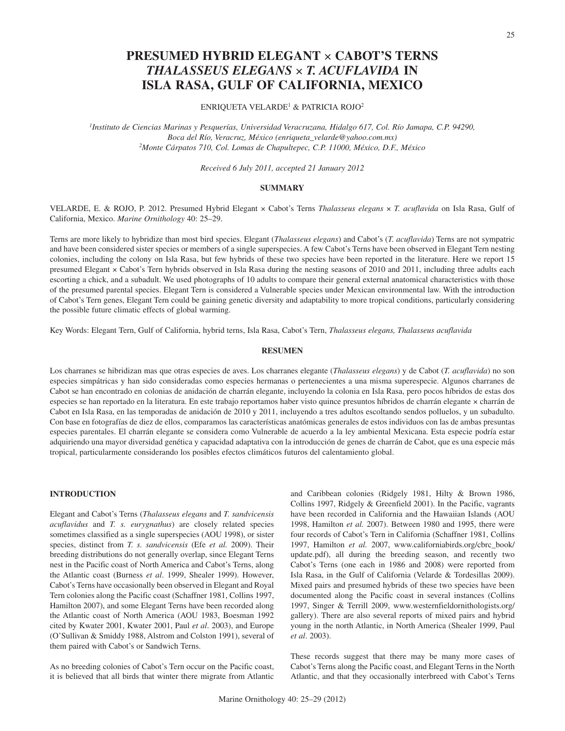# **PRESUMED HYBRID ELEGANT** × **CABOT'S TERNS**  *THALASSEUS ELEGANS* × *T. ACUFLAVIDA* **IN ISLA RASA, GULF OF CALIFORNIA, MEXICO**

 $\sim 25$ 

## Enriqueta Velarde1 & Patricia Rojo2

*1Instituto de Ciencias Marinas y Pesquerías, Universidad Veracruzana, Hidalgo 617, Col. Río Jamapa, C.P. 94290, Boca del Río, Veracruz, México (enriqueta\_velarde@yahoo.com.mx) 2Monte Cárpatos 710, Col. Lomas de Chapultepec, C.P. 11000, México, D.F., México*

*Received 6 July 2011, accepted 21 January 2012*

## **SUMMARY**

VELARDE, E. & ROJO, P. 2012. Presumed Hybrid Elegant × Cabot's Terns *Thalasseus elegans* × *T. acuflavida* on Isla Rasa, Gulf of California, Mexico. *Marine Ornithology* 40: 25–29.

Terns are more likely to hybridize than most bird species. Elegant (*Thalasseus elegans*) and Cabot's (*T. acuflavida*) Terns are not sympatric and have been considered sister species or members of a single superspecies. A few Cabot's Terns have been observed in Elegant Tern nesting colonies, including the colony on Isla Rasa, but few hybrids of these two species have been reported in the literature. Here we report 15 presumed Elegant × Cabot's Tern hybrids observed in Isla Rasa during the nesting seasons of 2010 and 2011, including three adults each escorting a chick, and a subadult. We used photographs of 10 adults to compare their general external anatomical characteristics with those of the presumed parental species. Elegant Tern is considered a Vulnerable species under Mexican environmental law. With the introduction of Cabot's Tern genes, Elegant Tern could be gaining genetic diversity and adaptability to more tropical conditions, particularly considering the possible future climatic effects of global warming.

Key Words: Elegant Tern, Gulf of California, hybrid terns, Isla Rasa, Cabot's Tern, *Thalasseus elegans, Thalasseus acuflavida*

## **RESUMEN**

Los charranes se hibridizan mas que otras especies de aves. Los charranes elegante (*Thalasseus elegans*) y de Cabot (*T. acuflavida*) no son especies simpátricas y han sido consideradas como especies hermanas o pertenecientes a una misma superespecie. Algunos charranes de Cabot se han encontrado en colonias de anidación de charrán elegante, incluyendo la colonia en Isla Rasa, pero pocos híbridos de estas dos especies se han reportado en la literatura. En este trabajo reportamos haber visto quince presuntos híbridos de charrán elegante × charrán de Cabot en Isla Rasa, en las temporadas de anidación de 2010 y 2011, incluyendo a tres adultos escoltando sendos polluelos, y un subadulto. Con base en fotografías de diez de ellos, comparamos las características anatómicas generales de estos individuos con las de ambas presuntas especies parentales. El charrán elegante se considera como Vulnerable de acuerdo a la ley ambiental Mexicana. Esta especie podría estar adquiriendo una mayor diversidad genética y capacidad adaptativa con la introducción de genes de charrán de Cabot, que es una especie más tropical, particularmente considerando los posibles efectos climáticos futuros del calentamiento global.

## **INTRODUCTION**

Elegant and Cabot's Terns (*Thalasseus elegans* and *T. sandvicensis acuflavidus* and *T. s. eurygnathus*) are closely related species sometimes classified as a single superspecies (AOU 1998), or sister species, distinct from *T. s. sandvicensis* (Efe *et al.* 2009). Their breeding distributions do not generally overlap, since Elegant Terns nest in the Pacific coast of North America and Cabot's Terns, along the Atlantic coast (Burness *et al*. 1999, Shealer 1999). However, Cabot's Terns have occasionally been observed in Elegant and Royal Tern colonies along the Pacific coast (Schaffner 1981, Collins 1997, Hamilton 2007), and some Elegant Terns have been recorded along the Atlantic coast of North America (AOU 1983, Boesman 1992 cited by Kwater 2001, Kwater 2001, Paul *et al*. 2003), and Europe (O'Sullivan & Smiddy 1988, Alstrom and Colston 1991), several of them paired with Cabot's or Sandwich Terns.

As no breeding colonies of Cabot's Tern occur on the Pacific coast, it is believed that all birds that winter there migrate from Atlantic and Caribbean colonies (Ridgely 1981, Hilty & Brown 1986, Collins 1997, Ridgely & Greenfield 2001). In the Pacific, vagrants have been recorded in California and the Hawaiian Islands (AOU 1998, Hamilton *et al.* 2007). Between 1980 and 1995, there were four records of Cabot's Tern in California (Schaffner 1981, Collins 1997, Hamilton *et al.* 2007, www.californiabirds.org/cbrc\_book/ update.pdf), all during the breeding season, and recently two Cabot's Terns (one each in 1986 and 2008) were reported from Isla Rasa, in the Gulf of California (Velarde & Tordesillas 2009). Mixed pairs and presumed hybrids of these two species have been documented along the Pacific coast in several instances (Collins 1997, Singer & Terrill 2009, www.westernfieldornithologists.org/ gallery). There are also several reports of mixed pairs and hybrid young in the north Atlantic, in North America (Shealer 1999, Paul *et al*. 2003).

These records suggest that there may be many more cases of Cabot's Terns along the Pacific coast, and Elegant Terns in the North Atlantic, and that they occasionally interbreed with Cabot's Terns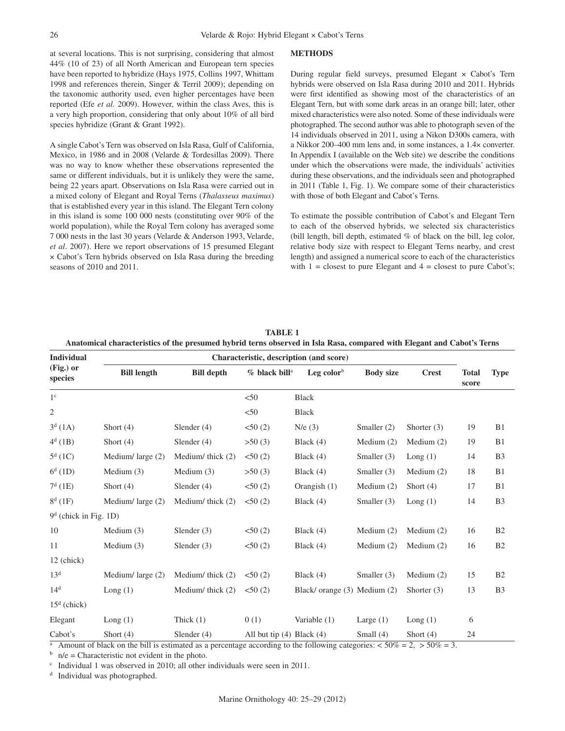at several locations. This is not surprising, considering that almost 44% (10 of 23) of all North American and European tern species have been reported to hybridize (Hays 1975, Collins 1997, Whittam 1998 and references therein, Singer & Terril 2009); depending on the taxonomic authority used, even higher percentages have been reported (Efe *et al.* 2009). However, within the class Aves, this is a very high proportion, considering that only about 10% of all bird species hybridize (Grant & Grant 1992).

A single Cabot's Tern was observed on Isla Rasa, Gulf of California, Mexico, in 1986 and in 2008 (Velarde & Tordesillas 2009). There was no way to know whether these observations represented the same or different individuals, but it is unlikely they were the same, being 22 years apart. Observations on Isla Rasa were carried out in a mixed colony of Elegant and Royal Terns (*Thalasseus maximus*) that is established every year in this island. The Elegant Tern colony in this island is some 100 000 nests (constituting over 90% of the world population), while the Royal Tern colony has averaged some 7 000 nests in the last 30 years (Velarde & Anderson 1993, Velarde, *et al*. 2007). Here we report observations of 15 presumed Elegant × Cabot's Tern hybrids observed on Isla Rasa during the breeding seasons of 2010 and 2011.

### **METHODS**

During regular field surveys, presumed Elegant × Cabot's Tern hybrids were observed on Isla Rasa during 2010 and 2011. Hybrids were first identified as showing most of the characteristics of an Elegant Tern, but with some dark areas in an orange bill; later, other mixed characteristics were also noted. Some of these individuals were photographed. The second author was able to photograph seven of the 14 individuals observed in 2011, using a Nikon D300s camera, with a Nikkor 200–400 mm lens and, in some instances, a 1.4× converter. In Appendix I (available on the Web site) we describe the conditions under which the observations were made, the individuals' activities during these observations, and the individuals seen and photographed in 2011 (Table 1, Fig. 1). We compare some of their characteristics with those of both Elegant and Cabot's Terns.

To estimate the possible contribution of Cabot's and Elegant Tern to each of the observed hybrids, we selected six characteristics (bill length, bill depth, estimated % of black on the bill, leg color, relative body size with respect to Elegant Terns nearby, and crest length) and assigned a numerical score to each of the characteristics with  $1 =$  closest to pure Elegant and  $4 =$  closest to pure Cabot's;

| <b>Individual</b><br>(Fig.) or<br>species | Characteristic, description (and score)                                                                                                                 |                    |                               |                              |                  |               |                       |                |
|-------------------------------------------|---------------------------------------------------------------------------------------------------------------------------------------------------------|--------------------|-------------------------------|------------------------------|------------------|---------------|-----------------------|----------------|
|                                           | <b>Bill length</b>                                                                                                                                      | <b>Bill depth</b>  | % black bill <sup>a</sup>     | Leg color <sup>b</sup>       | <b>Body size</b> | <b>Crest</b>  | <b>Total</b><br>score | <b>Type</b>    |
| 1 <sup>c</sup>                            |                                                                                                                                                         |                    | < 50                          | <b>Black</b>                 |                  |               |                       |                |
| 2                                         |                                                                                                                                                         |                    | < 50                          | <b>Black</b>                 |                  |               |                       |                |
| $3^{d}$ (1A)                              | Short $(4)$                                                                                                                                             | Slender $(4)$      | 50(2)                         | N/e(3)                       | Smaller $(2)$    | Shorter $(3)$ | 19                    | B <sub>1</sub> |
| $4^{d}$ (1B)                              | Short $(4)$                                                                                                                                             | Slender $(4)$      | >50(3)                        | Black $(4)$                  | Medium $(2)$     | Medium $(2)$  | 19                    | B <sub>1</sub> |
| $5^d$ (1C)                                | Medium/ large $(2)$                                                                                                                                     | Medium/thick $(2)$ | 50(2)                         | Black $(4)$                  | Smaller $(3)$    | Long $(1)$    | 14                    | B <sub>3</sub> |
| $6^{d}$ (1D)                              | Medium $(3)$                                                                                                                                            | Medium (3)         | >50(3)                        | Black $(4)$                  | Smaller $(3)$    | Medium $(2)$  | 18                    | B1             |
| $7^d$ (1E)                                | Short $(4)$                                                                                                                                             | Slender $(4)$      | 50(2)                         | Orangish $(1)$               | Medium $(2)$     | Short $(4)$   | 17                    | B <sub>1</sub> |
| $8^d$ (1F)                                | Medium/large (2)                                                                                                                                        | Medium/thick $(2)$ | 50(2)                         | Black $(4)$                  | Smaller $(3)$    | Long $(1)$    | 14                    | B <sub>3</sub> |
| $9d$ (chick in Fig. 1D)                   |                                                                                                                                                         |                    |                               |                              |                  |               |                       |                |
| 10                                        | Medium $(3)$                                                                                                                                            | Slender $(3)$      | 50(2)                         | Black $(4)$                  | Medium $(2)$     | Medium $(2)$  | 16                    | B <sub>2</sub> |
| 11                                        | Medium (3)                                                                                                                                              | Slender $(3)$      | 50(2)                         | Black $(4)$                  | Medium $(2)$     | Medium $(2)$  | 16                    | B <sub>2</sub> |
| 12 (chick)                                |                                                                                                                                                         |                    |                               |                              |                  |               |                       |                |
| 13 <sup>d</sup>                           | Medium/ large $(2)$                                                                                                                                     | Medium/thick $(2)$ | 50(2)                         | Black $(4)$                  | Smaller $(3)$    | Medium $(2)$  | 15                    | B <sub>2</sub> |
| 14 <sup>d</sup>                           | Long $(1)$                                                                                                                                              | Medium/thick $(2)$ | < 50(2)                       | Black/ orange (3) Medium (2) |                  | Shorter $(3)$ | 13                    | B <sub>3</sub> |
| $15d$ (chick)                             |                                                                                                                                                         |                    |                               |                              |                  |               |                       |                |
| Elegant                                   | Long $(1)$                                                                                                                                              | Thick $(1)$        | 0(1)                          | Variable (1)                 | Large $(1)$      | Long $(1)$    | 6                     |                |
| Cabot's                                   | Short $(4)$<br><sup>a</sup> Amount of black on the bill is estimated as a percentage according to the following categories: $\lt 50\% - 2 \lt 50\% - 3$ | Slender $(4)$      | All but tip $(4)$ Black $(4)$ |                              | Small $(4)$      | Short $(4)$   | 24                    |                |

**TABLE 1 Anatomical characteristics of the presumed hybrid terns observed in Isla Rasa, compared with Elegant and Cabot's Terns**

<sup>4</sup> Amount of black on the bill is estimated as a percentage according to the following categories: <  $50\% = 2$ , >  $50\% = 3$ .<br><sup>b</sup> n/e = Characteristic not evident in the photo.<br><sup>c</sup> Individual 1 was observed in 2010; all o

<sup>d</sup> Individual was photographed.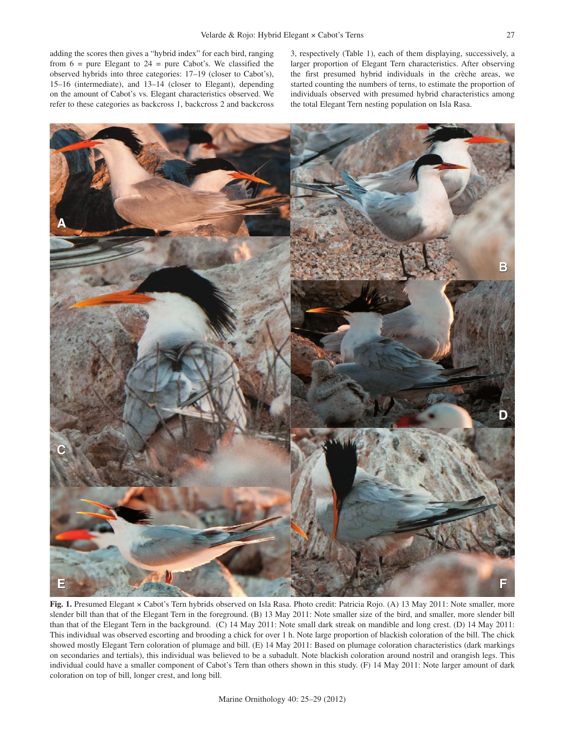adding the scores then gives a "hybrid index" for each bird, ranging from  $6 =$  pure Elegant to  $24 =$  pure Cabot's. We classified the observed hybrids into three categories: 17–19 (closer to Cabot's), 15–16 (intermediate), and 13–14 (closer to Elegant), depending on the amount of Cabot's vs. Elegant characteristics observed. We refer to these categories as backcross 1, backcross 2 and backcross 3, respectively (Table 1), each of them displaying, successively, a larger proportion of Elegant Tern characteristics. After observing the first presumed hybrid individuals in the crèche areas, we started counting the numbers of terns, to estimate the proportion of individuals observed with presumed hybrid characteristics among the total Elegant Tern nesting population on Isla Rasa.



Fig. 1. Presumed Elegant × Cabot's Tern hybrids observed on Isla Rasa. Photo credit: Patricia Rojo. (A) 13 May 2011: Note smaller, more slender bill than that of the Elegant Tern in the foreground. (B) 13 May 2011: Note smaller size of the bird, and smaller, more slender bill than that of the Elegant Tern in the background. (C) 14 May 2011: Note small dark streak on mandible and long crest. (D) 14 May 2011: This individual was observed escorting and brooding a chick for over 1 h. Note large proportion of blackish coloration of the bill. The chick showed mostly Elegant Tern coloration of plumage and bill. (E) 14 May 2011: Based on plumage coloration characteristics (dark markings on secondaries and tertials), this individual was believed to be a subadult. Note blackish coloration around nostril and orangish legs. This individual could have a smaller component of Cabot's Tern than others shown in this study. (F) 14 May 2011: Note larger amount of dark coloration on top of bill, longer crest, and long bill.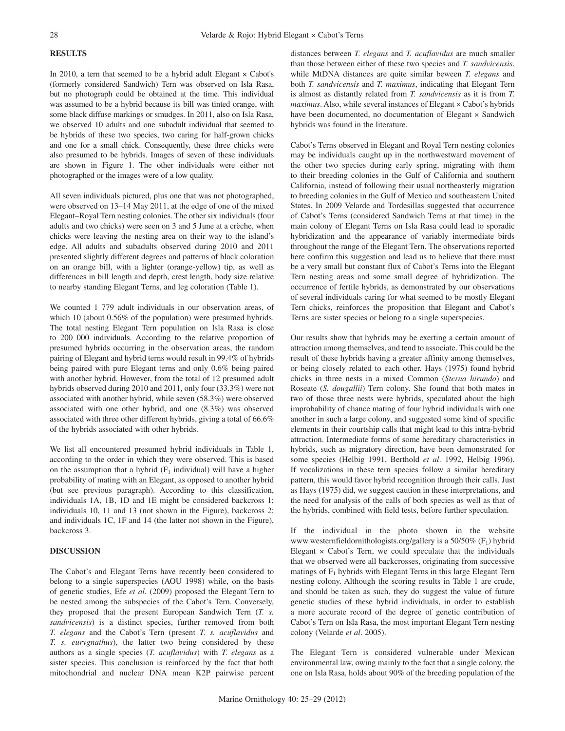## **RESULTS**

In 2010, a tern that seemed to be a hybrid adult Elegant  $\times$  Cabot's (formerly considered Sandwich) Tern was observed on Isla Rasa, but no photograph could be obtained at the time. This individual was assumed to be a hybrid because its bill was tinted orange, with some black diffuse markings or smudges. In 2011, also on Isla Rasa, we observed 10 adults and one subadult individual that seemed to be hybrids of these two species, two caring for half-grown chicks and one for a small chick. Consequently, these three chicks were also presumed to be hybrids. Images of seven of these individuals are shown in Figure 1. The other individuals were either not photographed or the images were of a low quality.

All seven individuals pictured, plus one that was not photographed, were observed on 13–14 May 2011, at the edge of one of the mixed Elegant–Royal Tern nesting colonies. The other six individuals (four adults and two chicks) were seen on 3 and 5 June at a crèche, when chicks were leaving the nesting area on their way to the island's edge. All adults and subadults observed during 2010 and 2011 presented slightly different degrees and patterns of black coloration on an orange bill, with a lighter (orange-yellow) tip, as well as differences in bill length and depth, crest length, body size relative to nearby standing Elegant Terns, and leg coloration (Table 1).

We counted 1 779 adult individuals in our observation areas, of which 10 (about 0.56% of the population) were presumed hybrids. The total nesting Elegant Tern population on Isla Rasa is close to 200 000 individuals. According to the relative proportion of presumed hybrids occurring in the observation areas, the random pairing of Elegant and hybrid terns would result in 99.4% of hybrids being paired with pure Elegant terns and only 0.6% being paired with another hybrid. However, from the total of 12 presumed adult hybrids observed during 2010 and 2011, only four (33.3%) were not associated with another hybrid, while seven (58.3%) were observed associated with one other hybrid, and one (8.3%) was observed associated with three other different hybrids, giving a total of 66.6% of the hybrids associated with other hybrids.

We list all encountered presumed hybrid individuals in Table 1, according to the order in which they were observed. This is based on the assumption that a hybrid  $(F_1$  individual) will have a higher probability of mating with an Elegant, as opposed to another hybrid (but see previous paragraph). According to this classification, individuals 1A, 1B, 1D and 1E might be considered backcross 1; individuals 10, 11 and 13 (not shown in the Figure), backcross 2; and individuals 1C, 1F and 14 (the latter not shown in the Figure), backcross 3.

### **DISCUSSION**

The Cabot's and Elegant Terns have recently been considered to belong to a single superspecies (AOU 1998) while, on the basis of genetic studies, Efe *et al.* (2009) proposed the Elegant Tern to be nested among the subspecies of the Cabot's Tern. Conversely, they proposed that the present European Sandwich Tern (*T. s. sandvicensis*) is a distinct species, further removed from both *T. elegans* and the Cabot's Tern (present *T. s. acuflavidus* and *T. s. eurygnathus*), the latter two being considered by these authors as a single species (*T. acuflavidus*) with *T. elegans* as a sister species. This conclusion is reinforced by the fact that both mitochondrial and nuclear DNA mean K2P pairwise percent distances between *T. elegans* and *T. acuflavidus* are much smaller than those between either of these two species and *T. sandvicensis*, while MtDNA distances are quite similar beween *T. elegans* and both *T. sandvicensis* and *T. maximus*, indicating that Elegant Tern is almost as distantly related from *T. sandvicensis* as it is from *T. maximus*. Also, while several instances of Elegant  $\times$  Cabot's hybrids have been documented, no documentation of Elegant  $\times$  Sandwich hybrids was found in the literature.

Cabot's Terns observed in Elegant and Royal Tern nesting colonies may be individuals caught up in the northwestward movement of the other two species during early spring, migrating with them to their breeding colonies in the Gulf of California and southern California, instead of following their usual northeasterly migration to breeding colonies in the Gulf of Mexico and southeastern United States. In 2009 Velarde and Tordesillas suggested that occurrence of Cabot's Terns (considered Sandwich Terns at that time) in the main colony of Elegant Terns on Isla Rasa could lead to sporadic hybridization and the appearance of variably intermediate birds throughout the range of the Elegant Tern. The observations reported here confirm this suggestion and lead us to believe that there must be a very small but constant flux of Cabot's Terns into the Elegant Tern nesting areas and some small degree of hybridization. The occurrence of fertile hybrids, as demonstrated by our observations of several individuals caring for what seemed to be mostly Elegant Tern chicks, reinforces the proposition that Elegant and Cabot's Terns are sister species or belong to a single superspecies.

Our results show that hybrids may be exerting a certain amount of attraction among themselves, and tend to associate. This could be the result of these hybrids having a greater affinity among themselves, or being closely related to each other. Hays (1975) found hybrid chicks in three nests in a mixed Common (*Sterna hirundo*) and Roseate (*S. dougallii*) Tern colony. She found that both mates in two of those three nests were hybrids, speculated about the high improbability of chance mating of four hybrid individuals with one another in such a large colony, and suggested some kind of specific elements in their courtship calls that might lead to this intra-hybrid attraction. Intermediate forms of some hereditary characteristics in hybrids, such as migratory direction, have been demonstrated for some species (Helbig 1991, Berthold *et al*. 1992, Helbig 1996). If vocalizations in these tern species follow a similar hereditary pattern, this would favor hybrid recognition through their calls. Just as Hays (1975) did, we suggest caution in these interpretations, and the need for analysis of the calls of both species as well as that of the hybrids, combined with field tests, before further speculation.

If the individual in the photo shown in the website www.westernfieldornithologists.org/gallery is a 50/50%  $(F_1)$  hybrid Elegant  $\times$  Cabot's Tern, we could speculate that the individuals that we observed were all backcrosses, originating from successive matings of  $F_1$  hybrids with Elegant Terns in this large Elegant Tern nesting colony. Although the scoring results in Table 1 are crude, and should be taken as such, they do suggest the value of future genetic studies of these hybrid individuals, in order to establish a more accurate record of the degree of genetic contribution of Cabot's Tern on Isla Rasa, the most important Elegant Tern nesting colony (Velarde *et al*. 2005).

The Elegant Tern is considered vulnerable under Mexican environmental law, owing mainly to the fact that a single colony, the one on Isla Rasa, holds about 90% of the breeding population of the